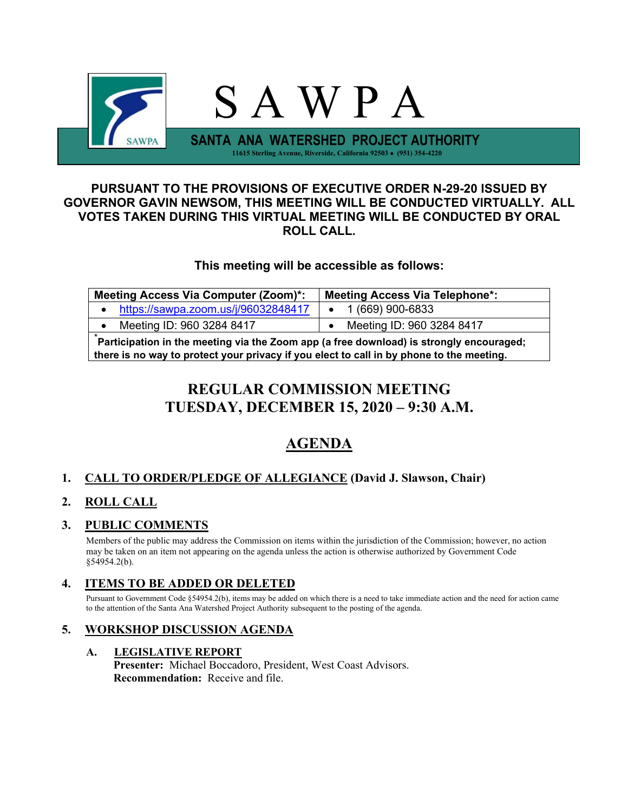

### **PURSUANT TO THE PROVISIONS OF EXECUTIVE ORDER N-29-20 ISSUED BY GOVERNOR GAVIN NEWSOM, THIS MEETING WILL BE CONDUCTED VIRTUALLY. ALL VOTES TAKEN DURING THIS VIRTUAL MEETING WILL BE CONDUCTED BY ORAL ROLL CALL.**

## **This meeting will be accessible as follows:**

| <b>Meeting Access Via Computer (Zoom)*:</b><br><b>Meeting Access Via Telephone*:</b>                                                                                                |                           |  |  |  |
|-------------------------------------------------------------------------------------------------------------------------------------------------------------------------------------|---------------------------|--|--|--|
| https://sawpa.zoom.us/j/96032848417<br>$\bullet$                                                                                                                                    | 1 (669) 900-6833          |  |  |  |
| Meeting ID: 960 3284 8417<br>$\bullet$                                                                                                                                              | Meeting ID: 960 3284 8417 |  |  |  |
| Participation in the meeting via the Zoom app (a free download) is strongly encouraged;<br>there is no way to protect your privacy if you elect to call in by phone to the meeting. |                           |  |  |  |

# **REGULAR COMMISSION MEETING TUESDAY, DECEMBER 15, 2020 – 9:30 A.M.**

# **AGENDA**

## **1. CALL TO ORDER/PLEDGE OF ALLEGIANCE (David J. Slawson, Chair)**

## **2. ROLL CALL**

## **3. PUBLIC COMMENTS**

Members of the public may address the Commission on items within the jurisdiction of the Commission; however, no action may be taken on an item not appearing on the agenda unless the action is otherwise authorized by Government Code §54954.2(b).

## **4. ITEMS TO BE ADDED OR DELETED**

Pursuant to Government Code §54954.2(b), items may be added on which there is a need to take immediate action and the need for action came to the attention of the Santa Ana Watershed Project Authority subsequent to the posting of the agenda.

## **5. WORKSHOP DISCUSSION AGENDA**

#### **A. LEGISLATIVE REPORT**

**Presenter:** Michael Boccadoro, President, West Coast Advisors. **Recommendation:** Receive and file.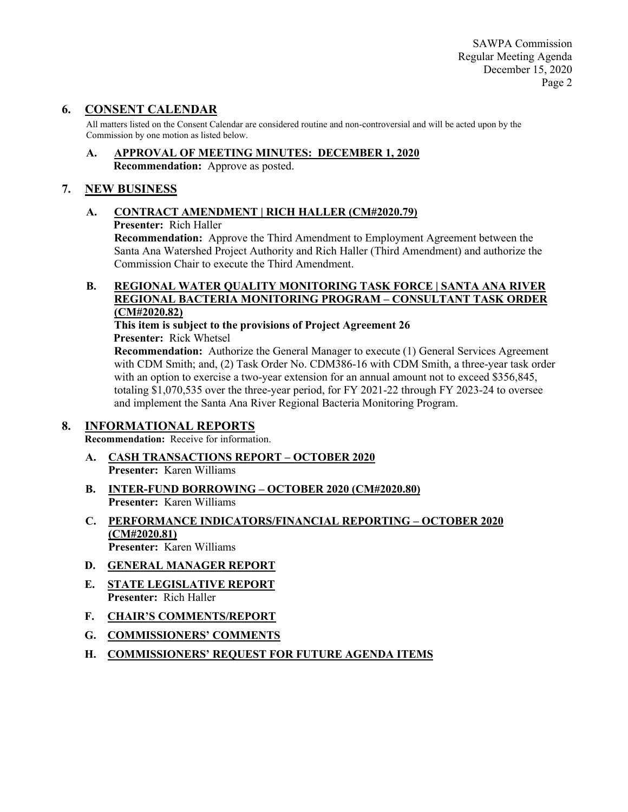SAWPA Commission Regular Meeting Agenda December 15, 2020 Page 2

### **6. CONSENT CALENDAR**

All matters listed on the Consent Calendar are considered routine and non-controversial and will be acted upon by the Commission by one motion as listed below.

**A. APPROVAL OF MEETING MINUTES: DECEMBER 1, 2020 Recommendation:** Approve as posted.

#### **7. NEW BUSINESS**

# **A. CONTRACT AMENDMENT | RICH HALLER (CM#2020.79)**

**Presenter:** Rich Haller

**Recommendation:** Approve the Third Amendment to Employment Agreement between the Santa Ana Watershed Project Authority and Rich Haller (Third Amendment) and authorize the Commission Chair to execute the Third Amendment.

#### **B. REGIONAL WATER QUALITY MONITORING TASK FORCE | SANTA ANA RIVER REGIONAL BACTERIA MONITORING PROGRAM – CONSULTANT TASK ORDER (CM#2020.82)**

**This item is subject to the provisions of Project Agreement 26 Presenter:** Rick Whetsel

**Recommendation:** Authorize the General Manager to execute (1) General Services Agreement with CDM Smith; and, (2) Task Order No. CDM386-16 with CDM Smith, a three-year task order with an option to exercise a two-year extension for an annual amount not to exceed \$356,845, totaling \$1,070,535 over the three-year period, for FY 2021-22 through FY 2023-24 to oversee and implement the Santa Ana River Regional Bacteria Monitoring Program.

#### **8. INFORMATIONAL REPORTS**

**Recommendation:** Receive for information.

- **A. CASH TRANSACTIONS REPORT – OCTOBER 2020 Presenter:** Karen Williams
- **B. INTER-FUND BORROWING – OCTOBER 2020 (CM#2020.80) Presenter:** Karen Williams
- **C. PERFORMANCE INDICATORS/FINANCIAL REPORTING – OCTOBER 2020 (CM#2020.81) Presenter:** Karen Williams
- **D. GENERAL MANAGER REPORT**
- **E. STATE LEGISLATIVE REPORT Presenter:** Rich Haller
- **F. CHAIR'S COMMENTS/REPORT**
- **G. COMMISSIONERS' COMMENTS**
- **H. COMMISSIONERS' REQUEST FOR FUTURE AGENDA ITEMS**